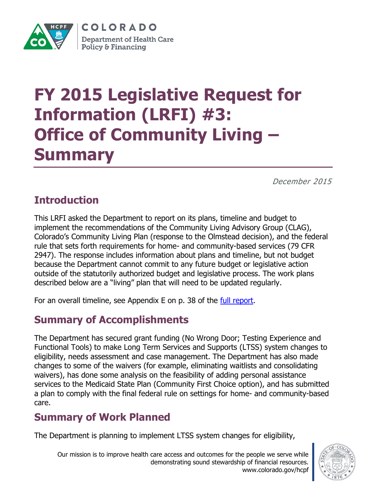

COLORADO **Department of Health Care Policy & Financing** 

# **FY 2015 Legislative Request for Information (LRFI) #3: Office of Community Living – Summary**

December 2015

## **Introduction**

This LRFI asked the Department to report on its plans, timeline and budget to implement the recommendations of the Community Living Advisory Group (CLAG), Colorado's Community Living Plan (response to the Olmstead decision), and the federal rule that sets forth requirements for home- and community-based services (79 CFR 2947). The response includes information about plans and timeline, but not budget because the Department cannot commit to any future budget or legislative action outside of the statutorily authorized budget and legislative process. The work plans described below are a "living" plan that will need to be updated regularly.

For an overall timeline, see Appendix E on p. 38 of the [full report.](https://www.colorado.gov/pacific/sites/default/files/Community_Living_Advisory_Group_Final_Report_09-30-14.pdf)

### **Summary of Accomplishments**

The Department has secured grant funding (No Wrong Door; Testing Experience and Functional Tools) to make Long Term Services and Supports (LTSS) system changes to eligibility, needs assessment and case management. The Department has also made changes to some of the waivers (for example, eliminating waitlists and consolidating waivers), has done some analysis on the feasibility of adding personal assistance services to the Medicaid State Plan (Community First Choice option), and has submitted a plan to comply with the final federal rule on settings for home- and community-based care.

### **Summary of Work Planned**

The Department is planning to implement LTSS system changes for eligibility,

Our mission is to improve health care access and outcomes for the people we serve while demonstrating sound stewardship of financial resources. www.colorado.gov/hcpf

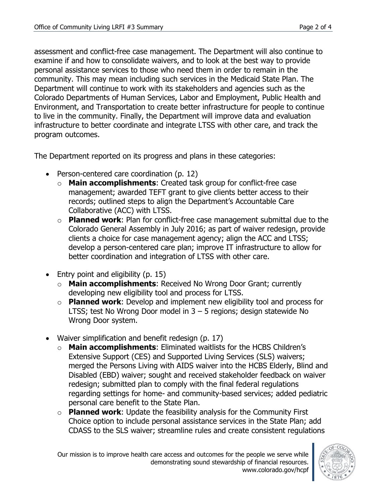assessment and conflict-free case management. The Department will also continue to examine if and how to consolidate waivers, and to look at the best way to provide personal assistance services to those who need them in order to remain in the community. This may mean including such services in the Medicaid State Plan. The Department will continue to work with its stakeholders and agencies such as the Colorado Departments of Human Services, Labor and Employment, Public Health and Environment, and Transportation to create better infrastructure for people to continue to live in the community. Finally, the Department will improve data and evaluation infrastructure to better coordinate and integrate LTSS with other care, and track the program outcomes.

The Department reported on its progress and plans in these categories:

- Person-centered care coordination (p. 12)
	- o **Main accomplishments**: Created task group for conflict-free case management; awarded TEFT grant to give clients better access to their records; outlined steps to align the Department's Accountable Care Collaborative (ACC) with LTSS.
	- o **Planned work**: Plan for conflict-free case management submittal due to the Colorado General Assembly in July 2016; as part of waiver redesign, provide clients a choice for case management agency; align the ACC and LTSS; develop a person-centered care plan; improve IT infrastructure to allow for better coordination and integration of LTSS with other care.
- $\bullet$  Entry point and eligibility (p. 15)
	- o **Main accomplishments**: Received No Wrong Door Grant; currently developing new eligibility tool and process for LTSS.
	- o **Planned work**: Develop and implement new eligibility tool and process for LTSS; test No Wrong Door model in 3 – 5 regions; design statewide No Wrong Door system.
- Waiver simplification and benefit redesign (p. 17)
	- o **Main accomplishments**: Eliminated waitlists for the HCBS Children's Extensive Support (CES) and Supported Living Services (SLS) waivers; merged the Persons Living with AIDS waiver into the HCBS Elderly, Blind and Disabled (EBD) waiver; sought and received stakeholder feedback on waiver redesign; submitted plan to comply with the final federal regulations regarding settings for home- and community-based services; added pediatric personal care benefit to the State Plan.
	- o **Planned work**: Update the feasibility analysis for the Community First Choice option to include personal assistance services in the State Plan; add CDASS to the SLS waiver; streamline rules and create consistent regulations

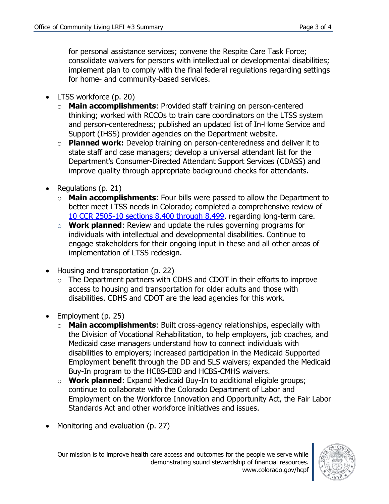for personal assistance services; convene the Respite Care Task Force; consolidate waivers for persons with intellectual or developmental disabilities; implement plan to comply with the final federal regulations regarding settings for home- and community-based services.

- LTSS workforce (p. 20)
	- o **Main accomplishments**: Provided staff training on person-centered thinking; worked with RCCOs to train care coordinators on the LTSS system and person-centeredness; published an updated list of In-Home Service and Support (IHSS) provider agencies on the Department website.
	- o **Planned work:** Develop training on person-centeredness and deliver it to state staff and case managers; develop a universal attendant list for the Department's Consumer-Directed Attendant Support Services (CDASS) and improve quality through appropriate background checks for attendants.
- Regulations  $(p. 21)$ 
	- o **Main accomplishments**: Four bills were passed to allow the Department to better meet LTSS needs in Colorado; completed a comprehensive review of [10 CCR 2505-10 sections 8.400 through 8.499,](https://www.sos.state.co.us/CCR/GenerateRulePdf.do?ruleVersionId=6419&fileName=10%20CCR%202505-10%208.400) regarding long-term care.
	- o **Work planned**: Review and update the rules governing programs for individuals with intellectual and developmental disabilities. Continue to engage stakeholders for their ongoing input in these and all other areas of implementation of LTSS redesign.
- Housing and transportation (p. 22)
	- o The Department partners with CDHS and CDOT in their efforts to improve access to housing and transportation for older adults and those with disabilities. CDHS and CDOT are the lead agencies for this work.
- $\bullet$  Employment (p. 25)
	- o **Main accomplishments**: Built cross-agency relationships, especially with the Division of Vocational Rehabilitation, to help employers, job coaches, and Medicaid case managers understand how to connect individuals with disabilities to employers; increased participation in the Medicaid Supported Employment benefit through the DD and SLS waivers; expanded the Medicaid Buy-In program to the HCBS-EBD and HCBS-CMHS waivers.
	- o **Work planned**: Expand Medicaid Buy-In to additional eligible groups; continue to collaborate with the Colorado Department of Labor and Employment on the Workforce Innovation and Opportunity Act, the Fair Labor Standards Act and other workforce initiatives and issues.
- Monitoring and evaluation (p. 27)